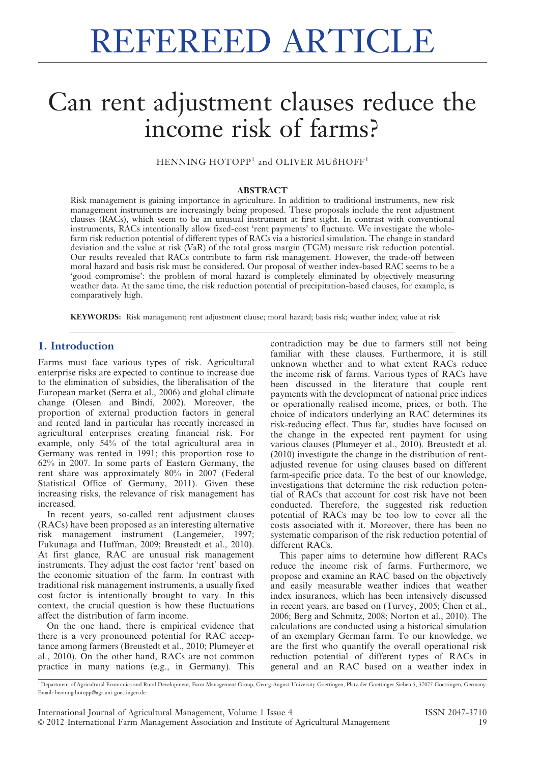# REFEREED ARTICLE

## Can rent adjustment clauses reduce the income risk of farms?

HENNING HOTOPP<sup>1</sup> and OLIVER MUßHOFF<sup>1</sup>

#### ABSTRACT

Risk management is gaining importance in agriculture. In addition to traditional instruments, new risk management instruments are increasingly being proposed. These proposals include the rent adjustment clauses (RACs), which seem to be an unusual instrument at first sight. In contrast with conventional instruments, RACs intentionally allow fixed-cost 'rent payments' to fluctuate. We investigate the wholefarm risk reduction potential of different types of RACs via a historical simulation. The change in standard deviation and the value at risk (VaR) of the total gross margin (TGM) measure risk reduction potential. Our results revealed that RACs contribute to farm risk management. However, the trade-off between moral hazard and basis risk must be considered. Our proposal of weather index-based RAC seems to be a 'good compromise': the problem of moral hazard is completely eliminated by objectively measuring weather data. At the same time, the risk reduction potential of precipitation-based clauses, for example, is comparatively high.

KEYWORDS: Risk management; rent adjustment clause; moral hazard; basis risk; weather index; value at risk

## 1. Introduction

Farms must face various types of risk. Agricultural enterprise risks are expected to continue to increase due to the elimination of subsidies, the liberalisation of the European market (Serra et al., 2006) and global climate change (Olesen and Bindi, 2002). Moreover, the proportion of external production factors in general and rented land in particular has recently increased in agricultural enterprises creating financial risk. For example, only 54% of the total agricultural area in Germany was rented in 1991; this proportion rose to 62% in 2007. In some parts of Eastern Germany, the rent share was approximately 80% in 2007 (Federal Statistical Office of Germany, 2011). Given these increasing risks, the relevance of risk management has increased.

In recent years, so-called rent adjustment clauses (RACs) have been proposed as an interesting alternative risk management instrument (Langemeier, 1997; Fukunaga and Huffman, 2009; Breustedt et al., 2010). At first glance, RAC are unusual risk management instruments. They adjust the cost factor 'rent' based on the economic situation of the farm. In contrast with traditional risk management instruments, a usually fixed cost factor is intentionally brought to vary. In this context, the crucial question is how these fluctuations affect the distribution of farm income.

On the one hand, there is empirical evidence that there is a very pronounced potential for RAC acceptance among farmers (Breustedt et al., 2010; Plumeyer et al., 2010). On the other hand, RACs are not common practice in many nations (e.g., in Germany). This

contradiction may be due to farmers still not being familiar with these clauses. Furthermore, it is still unknown whether and to what extent RACs reduce the income risk of farms. Various types of RACs have been discussed in the literature that couple rent payments with the development of national price indices or operationally realised income, prices, or both. The choice of indicators underlying an RAC determines its risk-reducing effect. Thus far, studies have focused on the change in the expected rent payment for using various clauses (Plumeyer et al., 2010). Breustedt et al. (2010) investigate the change in the distribution of rentadjusted revenue for using clauses based on different farm-specific price data. To the best of our knowledge, investigations that determine the risk reduction potential of RACs that account for cost risk have not been conducted. Therefore, the suggested risk reduction potential of RACs may be too low to cover all the costs associated with it. Moreover, there has been no systematic comparison of the risk reduction potential of different RACs.

This paper aims to determine how different RACs reduce the income risk of farms. Furthermore, we propose and examine an RAC based on the objectively and easily measurable weather indices that weather index insurances, which has been intensively discussed in recent years, are based on (Turvey, 2005; Chen et al., 2006; Berg and Schmitz, 2008; Norton et al., 2010). The calculations are conducted using a historical simulation of an exemplary German farm. To our knowledge, we are the first who quantify the overall operational risk reduction potential of different types of RACs in general and an RAC based on a weather index in

<sup>1</sup> Department of Agricultural Economics and Rural Development, Farm Management Group, Georg-August-University Goettingen, Platz der Goettinger Sieben 5, 37075 Goettingen, Germany. Email: henning.hotopp@agr.uni-goettingen.de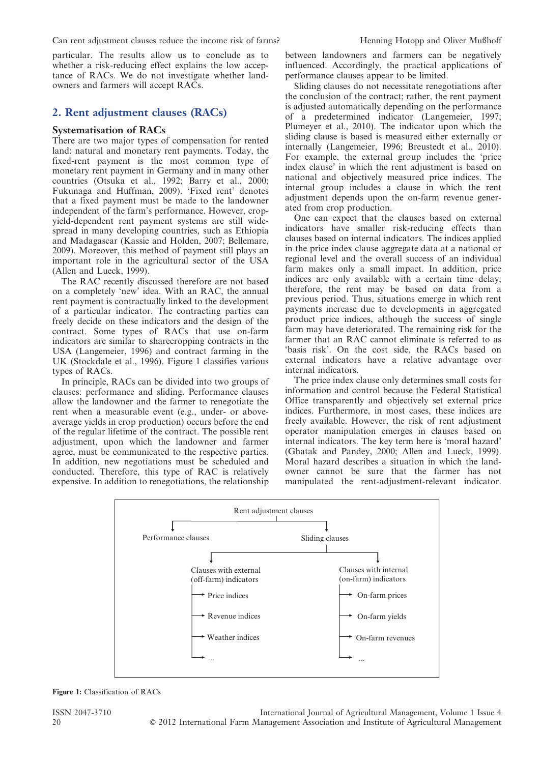particular. The results allow us to conclude as to whether a risk-reducing effect explains the low acceptance of RACs. We do not investigate whether landowners and farmers will accept RACs.

## 2. Rent adjustment clauses (RACs)

#### Systematisation of RACs

There are two major types of compensation for rented land: natural and monetary rent payments. Today, the fixed-rent payment is the most common type of monetary rent payment in Germany and in many other countries (Otsuka et al., 1992; Barry et al., 2000; Fukunaga and Huffman, 2009). 'Fixed rent' denotes that a fixed payment must be made to the landowner independent of the farm's performance. However, cropyield-dependent rent payment systems are still widespread in many developing countries, such as Ethiopia and Madagascar (Kassie and Holden, 2007; Bellemare, 2009). Moreover, this method of payment still plays an important role in the agricultural sector of the USA (Allen and Lueck, 1999).

The RAC recently discussed therefore are not based on a completely 'new' idea. With an RAC, the annual rent payment is contractually linked to the development of a particular indicator. The contracting parties can freely decide on these indicators and the design of the contract. Some types of RACs that use on-farm indicators are similar to sharecropping contracts in the USA (Langemeier, 1996) and contract farming in the UK (Stockdale et al., 1996). Figure 1 classifies various types of RACs.

In principle, RACs can be divided into two groups of clauses: performance and sliding. Performance clauses allow the landowner and the farmer to renegotiate the rent when a measurable event (e.g., under- or aboveaverage yields in crop production) occurs before the end of the regular lifetime of the contract. The possible rent adjustment, upon which the landowner and farmer agree, must be communicated to the respective parties. In addition, new negotiations must be scheduled and conducted. Therefore, this type of RAC is relatively expensive. In addition to renegotiations, the relationship between landowners and farmers can be negatively influenced. Accordingly, the practical applications of performance clauses appear to be limited.

Sliding clauses do not necessitate renegotiations after the conclusion of the contract; rather, the rent payment is adjusted automatically depending on the performance of a predetermined indicator (Langemeier, 1997; Plumeyer et al., 2010). The indicator upon which the sliding clause is based is measured either externally or internally (Langemeier, 1996; Breustedt et al., 2010). For example, the external group includes the 'price index clause' in which the rent adjustment is based on national and objectively measured price indices. The internal group includes a clause in which the rent adjustment depends upon the on-farm revenue generated from crop production.

One can expect that the clauses based on external indicators have smaller risk-reducing effects than clauses based on internal indicators. The indices applied in the price index clause aggregate data at a national or regional level and the overall success of an individual farm makes only a small impact. In addition, price indices are only available with a certain time delay; therefore, the rent may be based on data from a previous period. Thus, situations emerge in which rent payments increase due to developments in aggregated product price indices, although the success of single farm may have deteriorated. The remaining risk for the farmer that an RAC cannot eliminate is referred to as 'basis risk'. On the cost side, the RACs based on external indicators have a relative advantage over internal indicators.

The price index clause only determines small costs for information and control because the Federal Statistical Office transparently and objectively set external price indices. Furthermore, in most cases, these indices are freely available. However, the risk of rent adjustment operator manipulation emerges in clauses based on internal indicators. The key term here is 'moral hazard' (Ghatak and Pandey, 2000; Allen and Lueck, 1999). Moral hazard describes a situation in which the landowner cannot be sure that the farmer has not manipulated the rent-adjustment-relevant indicator.



Figure 1: Classification of RACs

ISSN 2047-3710 International Journal of Agricultural Management, Volume 1 Issue 4 20 **2012** 2012 International Farm Management Association and Institute of Agricultural Management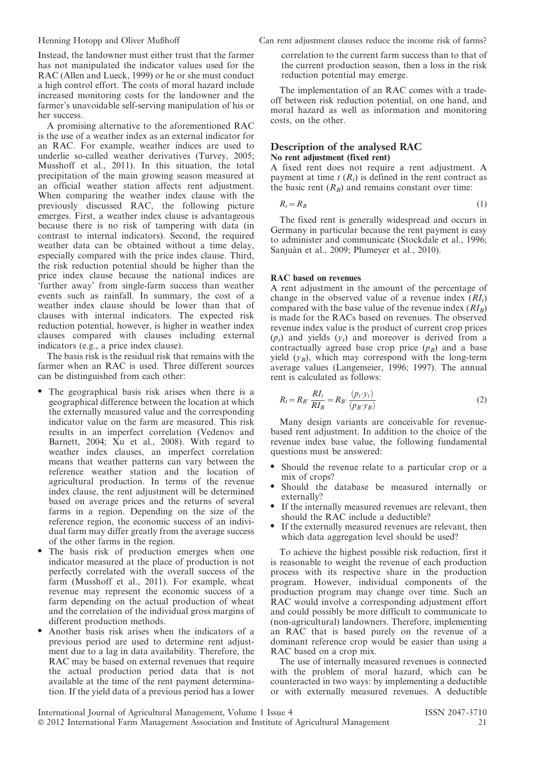Instead, the landowner must either trust that the farmer has not manipulated the indicator values used for the RAC (Allen and Lueck, 1999) or he or she must conduct a high control effort. The costs of moral hazard include increased monitoring costs for the landowner and the farmer's unavoidable self-serving manipulation of his or her success.

A promising alternative to the aforementioned RAC is the use of a weather index as an external indicator for an RAC. For example, weather indices are used to underlie so-called weather derivatives (Turvey, 2005; Musshoff et al., 2011). In this situation, the total precipitation of the main growing season measured at an official weather station affects rent adjustment. When comparing the weather index clause with the previously discussed RAC, the following picture emerges. First, a weather index clause is advantageous because there is no risk of tampering with data (in contrast to internal indicators). Second, the required weather data can be obtained without a time delay, especially compared with the price index clause. Third, the risk reduction potential should be higher than the price index clause because the national indices are 'further away' from single-farm success than weather events such as rainfall. In summary, the cost of a weather index clause should be lower than that of clauses with internal indicators. The expected risk reduction potential, however, is higher in weather index clauses compared with clauses including external indicators (e.g., a price index clause).

The basis risk is the residual risk that remains with the farmer when an RAC is used. Three different sources can be distinguished from each other:

- The geographical basis risk arises when there is a geographical difference between the location at which the externally measured value and the corresponding indicator value on the farm are measured. This risk results in an imperfect correlation (Vedenov and Barnett, 2004;  $\overline{X}u$  et al., 2008). With regard to weather index clauses, an imperfect correlation means that weather patterns can vary between the reference weather station and the location of agricultural production. In terms of the revenue index clause, the rent adjustment will be determined based on average prices and the returns of several farms in a region. Depending on the size of the reference region, the economic success of an individual farm may differ greatly from the average success of the other farms in the region.
- The basis risk of production emerges when one indicator measured at the place of production is not perfectly correlated with the overall success of the farm (Musshoff et al., 2011). For example, wheat revenue may represent the economic success of a farm depending on the actual production of wheat and the correlation of the individual gross margins of different production methods.
- Another basis risk arises when the indicators of a previous period are used to determine rent adjustment due to a lag in data availability. Therefore, the RAC may be based on external revenues that require the actual production period data that is not available at the time of the rent payment determination. If the yield data of a previous period has a lower

Henning Hotopp and Oliver Mußhoff Can rent adjustment clauses reduce the income risk of farms?

correlation to the current farm success than to that of the current production season, then a loss in the risk reduction potential may emerge.

The implementation of an RAC comes with a tradeoff between risk reduction potential, on one hand, and moral hazard as well as information and monitoring costs, on the other.

#### Description of the analysed RAC No rent adjustment (fixed rent)

A fixed rent does not require a rent adjustment. A payment at time  $t(R<sub>t</sub>)$  is defined in the rent contract as the basic rent  $(R_B)$  and remains constant over time:

$$
R_t = R_B \tag{1}
$$

The fixed rent is generally widespread and occurs in Germany in particular because the rent payment is easy to administer and communicate (Stockdale et al., 1996; Sanjuán et al., 2009; Plumeyer et al., 2010).

#### RAC based on revenues

A rent adjustment in the amount of the percentage of change in the observed value of a revenue index  $(RI_t)$ compared with the base value of the revenue index  $(RI_B)$ is made for the RACs based on revenues. The observed revenue index value is the product of current crop prices  $(p_t)$  and yields  $(y_t)$  and moreover is derived from a contractually agreed base crop price  $(p_B)$  and a base yield  $(y_B)$ , which may correspond with the long-term average values (Langemeier, 1996; 1997). The annual rent is calculated as follows:

$$
R_t = R_B \cdot \frac{RI_t}{RI_B} = R_B \cdot \frac{(p_t \cdot y_t)}{(p_B \cdot y_B)}\tag{2}
$$

Many design variants are conceivable for revenuebased rent adjustment. In addition to the choice of the revenue index base value, the following fundamental questions must be answered:

- Should the revenue relate to a particular crop or a mix of crops?
- Should the database be measured internally or externally?
- If the internally measured revenues are relevant, then should the RAC include a deductible?
- If the externally measured revenues are relevant, then which data aggregation level should be used?

To achieve the highest possible risk reduction, first it is reasonable to weight the revenue of each production process with its respective share in the production program. However, individual components of the production program may change over time. Such an RAC would involve a corresponding adjustment effort and could possibly be more difficult to communicate to (non-agricultural) landowners. Therefore, implementing an RAC that is based purely on the revenue of a dominant reference crop would be easier than using a RAC based on a crop mix.

The use of internally measured revenues is connected with the problem of moral hazard, which can be counteracted in two ways: by implementing a deductible or with externally measured revenues. A deductible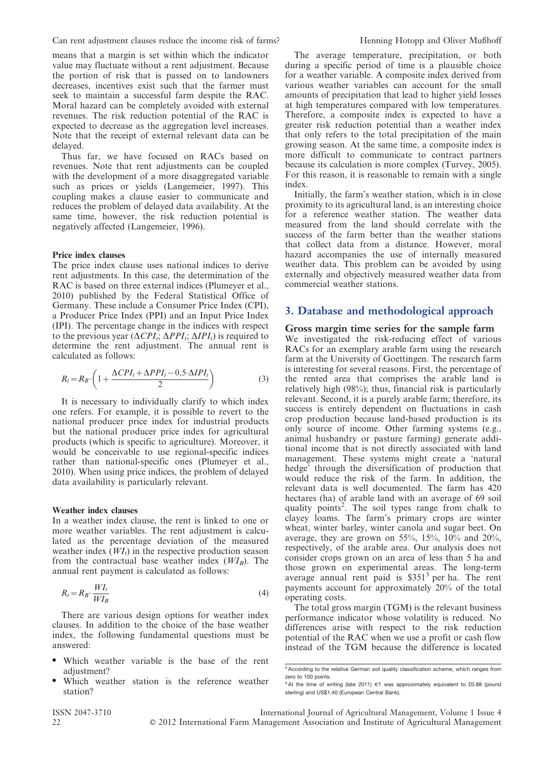Can rent adjustment clauses reduce the income risk of farms? Henning Hotopp and Oliver Mußhoff

means that a margin is set within which the indicator value may fluctuate without a rent adjustment. Because the portion of risk that is passed on to landowners decreases, incentives exist such that the farmer must seek to maintain a successful farm despite the RAC. Moral hazard can be completely avoided with external revenues. The risk reduction potential of the RAC is expected to decrease as the aggregation level increases. Note that the receipt of external relevant data can be delayed.

Thus far, we have focused on RACs based on revenues. Note that rent adjustments can be coupled with the development of a more disaggregated variable such as prices or yields (Langemeier, 1997). This coupling makes a clause easier to communicate and reduces the problem of delayed data availability. At the same time, however, the risk reduction potential is negatively affected (Langemeier, 1996).

#### Price index clauses

The price index clause uses national indices to derive rent adjustments. In this case, the determination of the RAC is based on three external indices (Plumeyer et al., 2010) published by the Federal Statistical Office of Germany. These include a Consumer Price Index (CPI), a Producer Price Index (PPI) and an Input Price Index (IPI). The percentage change in the indices with respect to the previous year ( $\Delta CPL_t$ ;  $\Delta PPI_t$ ;  $\Delta IPI_t$ ) is required to determine the rent adjustment. The annual rent is calculated as follows:

$$
R_t = R_B \cdot \left( 1 + \frac{\Delta CPI_t + \Delta PPI_t - 0.5 \cdot \Delta IPI_t}{2} \right) \tag{3}
$$

It is necessary to individually clarify to which index one refers. For example, it is possible to revert to the national producer price index for industrial products but the national producer price index for agricultural products (which is specific to agriculture). Moreover, it would be conceivable to use regional-specific indices rather than national-specific ones (Plumeyer et al., 2010). When using price indices, the problem of delayed data availability is particularly relevant.

#### Weather index clauses

In a weather index clause, the rent is linked to one or more weather variables. The rent adjustment is calculated as the percentage deviation of the measured weather index  $(WI_t)$  in the respective production season from the contractual base weather index  $(WI_B)$ . The annual rent payment is calculated as follows:

$$
R_t = R_B \cdot \frac{WI_t}{WI_B} \tag{4}
$$

There are various design options for weather index clauses. In addition to the choice of the base weather index, the following fundamental questions must be answered:

- Which weather variable is the base of the rent adjustment?
- Which weather station is the reference weather station?

The average temperature, precipitation, or both during a specific period of time is a plausible choice for a weather variable. A composite index derived from various weather variables can account for the small amounts of precipitation that lead to higher yield losses at high temperatures compared with low temperatures. Therefore, a composite index is expected to have a greater risk reduction potential than a weather index that only refers to the total precipitation of the main growing season. At the same time, a composite index is more difficult to communicate to contract partners because its calculation is more complex (Turvey, 2005). For this reason, it is reasonable to remain with a single index.

Initially, the farm's weather station, which is in close proximity to its agricultural land, is an interesting choice for a reference weather station. The weather data measured from the land should correlate with the success of the farm better than the weather stations that collect data from a distance. However, moral hazard accompanies the use of internally measured weather data. This problem can be avoided by using externally and objectively measured weather data from commercial weather stations.

#### 3. Database and methodological approach

#### Gross margin time series for the sample farm

We investigated the risk-reducing effect of various RACs for an exemplary arable farm using the research farm at the University of Goettingen. The research farm is interesting for several reasons. First, the percentage of the rented area that comprises the arable land is relatively high (98%); thus, financial risk is particularly relevant. Second, it is a purely arable farm; therefore, its success is entirely dependent on fluctuations in cash crop production because land-based production is its only source of income. Other farming systems (e.g., animal husbandry or pasture farming) generate additional income that is not directly associated with land management. These systems might create a 'natural hedge' through the diversification of production that would reduce the risk of the farm. In addition, the relevant data is well documented. The farm has 420 hectares (ha) of arable land with an average of 69 soil quality points<sup>2</sup>. The soil types range from chalk to clayey loams. The farm's primary crops are winter wheat, winter barley, winter canola and sugar beet. On average, they are grown on 55%, 15%, 10% and 20%, respectively, of the arable area. Our analysis does not consider crops grown on an area of less than 5 ha and those grown on experimental areas. The long-term average annual rent paid is \$351<sup>3</sup> per ha. The rent payments account for approximately 20% of the total operating costs.

The total gross margin (TGM) is the relevant business performance indicator whose volatility is reduced. No differences arise with respect to the risk reduction potential of the RAC when we use a profit or cash flow instead of the TGM because the difference is located

<sup>&</sup>lt;sup>2</sup> According to the relative German soil quality classification scheme, which ranges from zero to 100 points.

 $3$ At the time of writing (late 2011)  $\in$ 1 was approximately equivalent to £0.88 (pound sterling) and US\$1.40 (European Central Bank).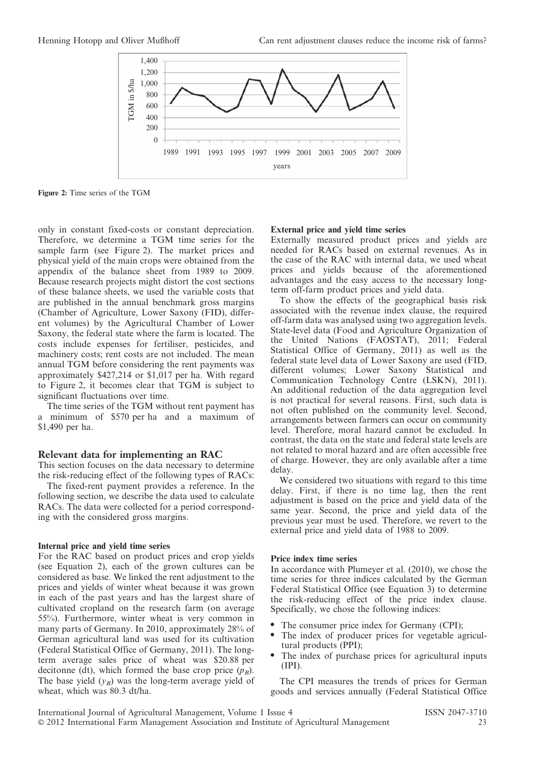

Figure 2: Time series of the TGM

only in constant fixed-costs or constant depreciation. Therefore, we determine a TGM time series for the sample farm (see Figure 2). The market prices and physical yield of the main crops were obtained from the appendix of the balance sheet from 1989 to 2009. Because research projects might distort the cost sections of these balance sheets, we used the variable costs that are published in the annual benchmark gross margins (Chamber of Agriculture, Lower Saxony (FID), different volumes) by the Agricultural Chamber of Lower Saxony, the federal state where the farm is located. The costs include expenses for fertiliser, pesticides, and machinery costs; rent costs are not included. The mean annual TGM before considering the rent payments was approximately \$427,214 or \$1,017 per ha. With regard to Figure 2, it becomes clear that TGM is subject to significant fluctuations over time.

The time series of the TGM without rent payment has a minimum of \$570 per ha and a maximum of \$1,490 per ha.

#### Relevant data for implementing an RAC

This section focuses on the data necessary to determine the risk-reducing effect of the following types of RACs:

The fixed-rent payment provides a reference. In the following section, we describe the data used to calculate RACs. The data were collected for a period corresponding with the considered gross margins.

#### Internal price and yield time series

For the RAC based on product prices and crop yields (see Equation 2), each of the grown cultures can be considered as base. We linked the rent adjustment to the prices and yields of winter wheat because it was grown in each of the past years and has the largest share of cultivated cropland on the research farm (on average 55%). Furthermore, winter wheat is very common in many parts of Germany. In 2010, approximately 28% of German agricultural land was used for its cultivation (Federal Statistical Office of Germany, 2011). The longterm average sales price of wheat was \$20.88 per decitonne (dt), which formed the base crop price  $(p_B)$ . The base yield  $(y_B)$  was the long-term average yield of wheat, which was 80.3 dt/ha.

#### External price and yield time series

Externally measured product prices and yields are needed for RACs based on external revenues. As in the case of the RAC with internal data, we used wheat prices and yields because of the aforementioned advantages and the easy access to the necessary longterm off-farm product prices and yield data.

To show the effects of the geographical basis risk associated with the revenue index clause, the required off-farm data was analysed using two aggregation levels. State-level data (Food and Agriculture Organization of the United Nations (FAOSTAT), 2011; Federal Statistical Office of Germany, 2011) as well as the federal state level data of Lower Saxony are used (FID, different volumes; Lower Saxony Statistical and Communication Technology Centre (LSKN), 2011). An additional reduction of the data aggregation level is not practical for several reasons. First, such data is not often published on the community level. Second, arrangements between farmers can occur on community level. Therefore, moral hazard cannot be excluded. In contrast, the data on the state and federal state levels are not related to moral hazard and are often accessible free of charge. However, they are only available after a time delay.

We considered two situations with regard to this time delay. First, if there is no time lag, then the rent adjustment is based on the price and yield data of the same year. Second, the price and yield data of the previous year must be used. Therefore, we revert to the external price and yield data of 1988 to 2009.

#### Price index time series

In accordance with Plumeyer et al. (2010), we chose the time series for three indices calculated by the German Federal Statistical Office (see Equation 3) to determine the risk-reducing effect of the price index clause. Specifically, we chose the following indices:

- The consumer price index for Germany (CPI);
- The index of producer prices for vegetable agricultural products (PPI);
- The index of purchase prices for agricultural inputs (IPI).

The CPI measures the trends of prices for German goods and services annually (Federal Statistical Office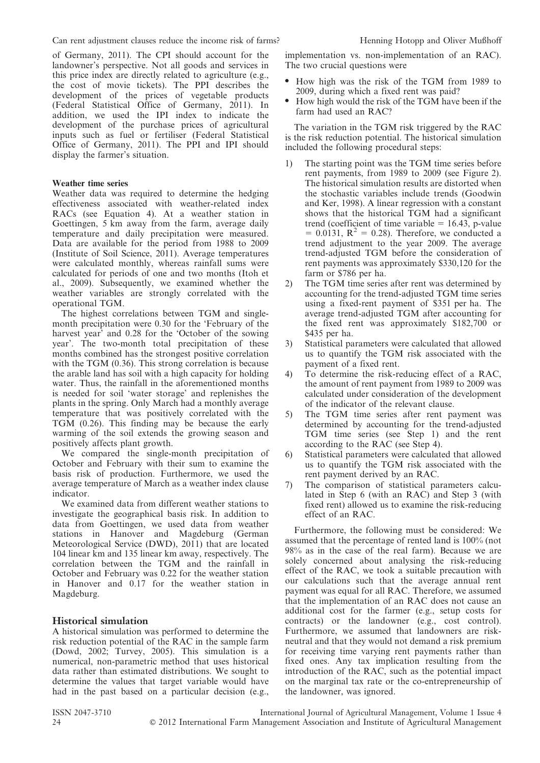of Germany, 2011). The CPI should account for the landowner's perspective. Not all goods and services in this price index are directly related to agriculture (e.g., the cost of movie tickets). The PPI describes the development of the prices of vegetable products (Federal Statistical Office of Germany, 2011). In addition, we used the IPI index to indicate the development of the purchase prices of agricultural inputs such as fuel or fertiliser (Federal Statistical Office of Germany, 2011). The PPI and IPI should display the farmer's situation.

#### Weather time series

Weather data was required to determine the hedging effectiveness associated with weather-related index RACs (see Equation 4). At a weather station in Goettingen, 5 km away from the farm, average daily temperature and daily precipitation were measured. Data are available for the period from 1988 to 2009 (Institute of Soil Science, 2011). Average temperatures were calculated monthly, whereas rainfall sums were calculated for periods of one and two months (Itoh et al., 2009). Subsequently, we examined whether the weather variables are strongly correlated with the operational TGM.

The highest correlations between TGM and singlemonth precipitation were 0.30 for the 'February of the harvest year' and 0.28 for the 'October of the sowing year'. The two-month total precipitation of these months combined has the strongest positive correlation with the TGM (0.36). This strong correlation is because the arable land has soil with a high capacity for holding water. Thus, the rainfall in the aforementioned months is needed for soil 'water storage' and replenishes the plants in the spring. Only March had a monthly average temperature that was positively correlated with the TGM (0.26). This finding may be because the early warming of the soil extends the growing season and positively affects plant growth.

We compared the single-month precipitation of October and February with their sum to examine the basis risk of production. Furthermore, we used the average temperature of March as a weather index clause indicator.

We examined data from different weather stations to investigate the geographical basis risk. In addition to data from Goettingen, we used data from weather stations in Hanover and Magdeburg (German Meteorological Service (DWD), 2011) that are located 104 linear km and 135 linear km away, respectively. The correlation between the TGM and the rainfall in October and February was 0.22 for the weather station in Hanover and 0.17 for the weather station in Magdeburg.

#### Historical simulation

A historical simulation was performed to determine the risk reduction potential of the RAC in the sample farm (Dowd, 2002; Turvey, 2005). This simulation is a numerical, non-parametric method that uses historical data rather than estimated distributions. We sought to determine the values that target variable would have had in the past based on a particular decision (e.g.,

implementation vs. non-implementation of an RAC). The two crucial questions were

- How high was the risk of the TGM from 1989 to 2009, during which a fixed rent was paid?
- How high would the risk of the TGM have been if the farm had used an RAC?

The variation in the TGM risk triggered by the RAC is the risk reduction potential. The historical simulation included the following procedural steps:

- 1) The starting point was the TGM time series before rent payments, from 1989 to 2009 (see Figure 2). The historical simulation results are distorted when the stochastic variables include trends (Goodwin and Ker, 1998). A linear regression with a constant shows that the historical TGM had a significant trend (coefficient of time variable  $= 16.43$ , p-value  $= 0.0131$ ,  $R^2 = 0.28$ ). Therefore, we conducted a trend adjustment to the year 2009. The average trend-adjusted TGM before the consideration of rent payments was approximately \$330,120 for the farm or \$786 per ha.
- 2) The TGM time series after rent was determined by accounting for the trend-adjusted TGM time series using a fixed-rent payment of \$351 per ha. The average trend-adjusted TGM after accounting for the fixed rent was approximately \$182,700 or \$435 per ha.
- 3) Statistical parameters were calculated that allowed us to quantify the TGM risk associated with the payment of a fixed rent.
- 4) To determine the risk-reducing effect of a RAC, the amount of rent payment from 1989 to 2009 was calculated under consideration of the development of the indicator of the relevant clause.
- The TGM time series after rent payment was determined by accounting for the trend-adjusted TGM time series (see Step 1) and the rent according to the RAC (see Step 4).
- 6) Statistical parameters were calculated that allowed us to quantify the TGM risk associated with the rent payment derived by an RAC.
- 7) The comparison of statistical parameters calculated in Step 6 (with an RAC) and Step 3 (with fixed rent) allowed us to examine the risk-reducing effect of an RAC.

Furthermore, the following must be considered: We assumed that the percentage of rented land is 100% (not 98% as in the case of the real farm). Because we are solely concerned about analysing the risk-reducing effect of the RAC, we took a suitable precaution with our calculations such that the average annual rent payment was equal for all RAC. Therefore, we assumed that the implementation of an RAC does not cause an additional cost for the farmer (e.g., setup costs for contracts) or the landowner (e.g., cost control). Furthermore, we assumed that landowners are riskneutral and that they would not demand a risk premium for receiving time varying rent payments rather than fixed ones. Any tax implication resulting from the introduction of the RAC, such as the potential impact on the marginal tax rate or the co-entrepreneurship of the landowner, was ignored.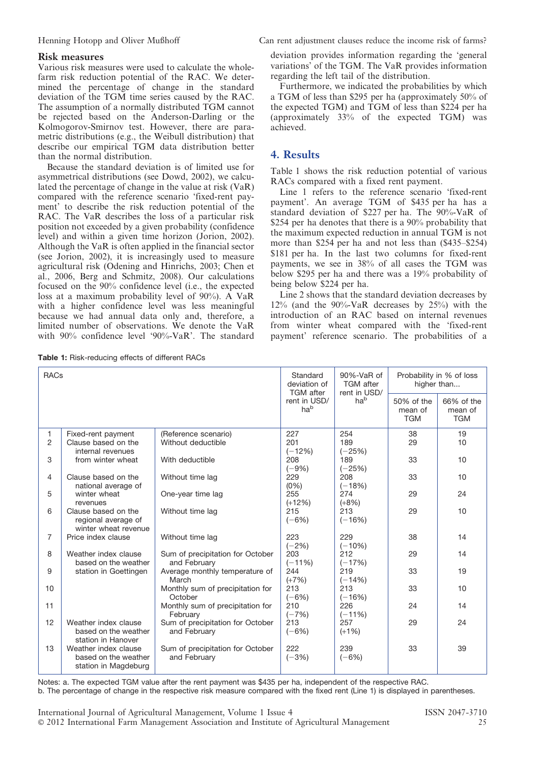#### Risk measures

Various risk measures were used to calculate the wholefarm risk reduction potential of the RAC. We determined the percentage of change in the standard deviation of the TGM time series caused by the RAC. The assumption of a normally distributed TGM cannot be rejected based on the Anderson-Darling or the Kolmogorov-Smirnov test. However, there are parametric distributions (e.g., the Weibull distribution) that describe our empirical TGM data distribution better than the normal distribution.

Because the standard deviation is of limited use for asymmetrical distributions (see Dowd, 2002), we calculated the percentage of change in the value at risk (VaR) compared with the reference scenario 'fixed-rent payment' to describe the risk reduction potential of the RAC. The VaR describes the loss of a particular risk position not exceeded by a given probability (confidence level) and within a given time horizon (Jorion, 2002). Although the VaR is often applied in the financial sector (see Jorion, 2002), it is increasingly used to measure agricultural risk (Odening and Hinrichs, 2003; Chen et al., 2006, Berg and Schmitz, 2008). Our calculations focused on the 90% confidence level (i.e., the expected loss at a maximum probability level of 90%). A VaR with a higher confidence level was less meaningful because we had annual data only and, therefore, a limited number of observations. We denote the VaR with 90% confidence level '90%-VaR'. The standard

Henning Hotopp and Oliver Mußhoff Can rent adjustment clauses reduce the income risk of farms?

deviation provides information regarding the 'general variations' of the TGM. The VaR provides information regarding the left tail of the distribution.

Furthermore, we indicated the probabilities by which a TGM of less than \$295 per ha (approximately 50% of the expected TGM) and TGM of less than \$224 per ha (approximately 33% of the expected TGM) was achieved.

## 4. Results

Table 1 shows the risk reduction potential of various RACs compared with a fixed rent payment.

Line 1 refers to the reference scenario 'fixed-rent payment'. An average TGM of \$435 per ha has a standard deviation of \$227 per ha. The 90%-VaR of \$254 per ha denotes that there is a 90% probability that the maximum expected reduction in annual TGM is not more than \$254 per ha and not less than (\$435–\$254) \$181 per ha. In the last two columns for fixed-rent payments, we see in 38% of all cases the TGM was below \$295 per ha and there was a 19% probability of being below \$224 per ha.

Line 2 shows that the standard deviation decreases by 12% (and the 90%-VaR decreases by 25%) with the introduction of an RAC based on internal revenues from winter wheat compared with the 'fixed-rent payment' reference scenario. The probabilities of a

| <b>RACs</b>    |                       |                                  | Standard<br>deviation of<br><b>TGM</b> after<br>rent in USD/<br>hab | 90%-VaR of<br><b>TGM</b> after<br>rent in USD/<br>ha <sup>b</sup> | Probability in % of loss<br>higher than |                                     |
|----------------|-----------------------|----------------------------------|---------------------------------------------------------------------|-------------------------------------------------------------------|-----------------------------------------|-------------------------------------|
|                |                       |                                  |                                                                     |                                                                   | 50% of the<br>mean of<br><b>TGM</b>     | 66% of the<br>mean of<br><b>TGM</b> |
| 1              | Fixed-rent payment    | (Reference scenario)             | 227                                                                 | 254                                                               | 38                                      | 19                                  |
| $\overline{2}$ | Clause based on the   | Without deductible               | 201                                                                 | 189                                                               | 29                                      | 10 <sup>1</sup>                     |
|                | internal revenues     |                                  | $(-12%)$                                                            | $(-25%)$                                                          |                                         |                                     |
| 3              | from winter wheat     | With deductible                  | 208                                                                 | 189                                                               | 33                                      | 10                                  |
|                |                       |                                  | $(-9%)$                                                             | $(-25%)$                                                          |                                         |                                     |
| 4              | Clause based on the   | Without time lag                 | 229                                                                 | 208                                                               | 33                                      | 10                                  |
|                | national average of   |                                  | (0% )                                                               | $(-18%)$                                                          |                                         |                                     |
| 5              | winter wheat          | One-year time lag                | 255                                                                 | 274                                                               | 29                                      | 24                                  |
|                | revenues              |                                  | $(+12%)$                                                            | $(+8%)$                                                           |                                         |                                     |
| 6              | Clause based on the   | Without time lag                 | 215                                                                 | 213                                                               | 29                                      | 10                                  |
|                | regional average of   |                                  | $(-6%)$                                                             | $(-16%)$                                                          |                                         |                                     |
|                | winter wheat revenue  |                                  |                                                                     |                                                                   |                                         |                                     |
| $\overline{7}$ | Price index clause    | Without time lag                 | 223                                                                 | 229                                                               | 38                                      | 14                                  |
|                |                       |                                  | $(-2%)$                                                             | $(-10%)$                                                          |                                         |                                     |
| 8              | Weather index clause  | Sum of precipitation for October | 203                                                                 | 212                                                               | 29                                      | 14                                  |
|                | based on the weather  | and February                     | $(-11%)$                                                            | $(-17%)$                                                          |                                         |                                     |
| 9              | station in Goettingen | Average monthly temperature of   | 244                                                                 | 219                                                               | 33                                      | 19                                  |
|                |                       | March                            | $(+7%)$                                                             | $(-14%)$                                                          |                                         |                                     |
| 10             |                       | Monthly sum of precipitation for | 213                                                                 | 213                                                               | 33                                      | 10 <sup>1</sup>                     |
|                |                       | October                          | $(-6%)$                                                             | $(-16%)$                                                          |                                         |                                     |
| 11             |                       | Monthly sum of precipitation for | 210                                                                 | 226                                                               | 24                                      | 14                                  |
|                |                       | February                         | $(-7%)$                                                             | $(-11%)$                                                          |                                         |                                     |
| 12             | Weather index clause  | Sum of precipitation for October | 213                                                                 | 257                                                               | 29                                      | 24                                  |
|                | based on the weather  | and February                     | $(-6%)$                                                             | $(+1%)$                                                           |                                         |                                     |
|                | station in Hanover    |                                  |                                                                     |                                                                   |                                         |                                     |
| 13             | Weather index clause  | Sum of precipitation for October | 222                                                                 | 239                                                               | 33                                      | 39                                  |
|                | based on the weather  | and February                     | $(-3%)$                                                             | $(-6%)$                                                           |                                         |                                     |
|                | station in Magdeburg  |                                  |                                                                     |                                                                   |                                         |                                     |
|                |                       |                                  |                                                                     |                                                                   |                                         |                                     |

Notes: a. The expected TGM value after the rent payment was \$435 per ha, independent of the respective RAC.

b. The percentage of change in the respective risk measure compared with the fixed rent (Line 1) is displayed in parentheses.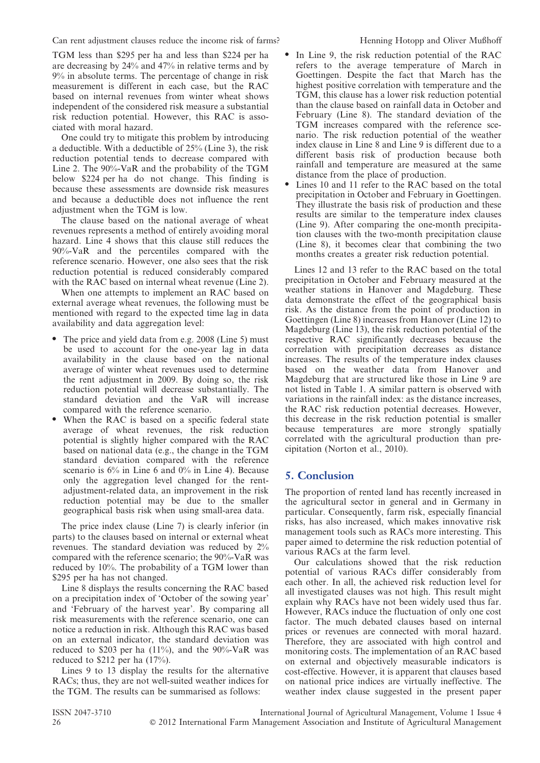TGM less than \$295 per ha and less than \$224 per ha are decreasing by 24% and 47% in relative terms and by 9% in absolute terms. The percentage of change in risk measurement is different in each case, but the RAC based on internal revenues from winter wheat shows independent of the considered risk measure a substantial risk reduction potential. However, this RAC is associated with moral hazard.

One could try to mitigate this problem by introducing a deductible. With a deductible of 25% (Line 3), the risk reduction potential tends to decrease compared with Line 2. The 90%-VaR and the probability of the TGM below \$224 per ha do not change. This finding is because these assessments are downside risk measures and because a deductible does not influence the rent adjustment when the TGM is low.

The clause based on the national average of wheat revenues represents a method of entirely avoiding moral hazard. Line 4 shows that this clause still reduces the 90%-VaR and the percentiles compared with the reference scenario. However, one also sees that the risk reduction potential is reduced considerably compared with the RAC based on internal wheat revenue (Line 2).

When one attempts to implement an RAC based on external average wheat revenues, the following must be mentioned with regard to the expected time lag in data availability and data aggregation level:

- The price and yield data from e.g. 2008 (Line 5) must be used to account for the one-year lag in data availability in the clause based on the national average of winter wheat revenues used to determine the rent adjustment in 2009. By doing so, the risk reduction potential will decrease substantially. The standard deviation and the VaR will increase compared with the reference scenario.
- When the RAC is based on a specific federal state average of wheat revenues, the risk reduction potential is slightly higher compared with the RAC based on national data (e.g., the change in the TGM standard deviation compared with the reference scenario is 6% in Line 6 and 0% in Line 4). Because only the aggregation level changed for the rentadjustment-related data, an improvement in the risk reduction potential may be due to the smaller geographical basis risk when using small-area data.

The price index clause (Line 7) is clearly inferior (in parts) to the clauses based on internal or external wheat revenues. The standard deviation was reduced by 2% compared with the reference scenario; the 90%-VaR was reduced by 10%. The probability of a TGM lower than \$295 per ha has not changed.

Line 8 displays the results concerning the RAC based on a precipitation index of 'October of the sowing year' and 'February of the harvest year'. By comparing all risk measurements with the reference scenario, one can notice a reduction in risk. Although this RAC was based on an external indicator, the standard deviation was reduced to \$203 per ha  $(11\%)$ , and the 90%-VaR was reduced to \$212 per ha (17%).

Lines 9 to 13 display the results for the alternative RACs; thus, they are not well-suited weather indices for the TGM. The results can be summarised as follows:

- In Line 9, the risk reduction potential of the RAC refers to the average temperature of March in Goettingen. Despite the fact that March has the highest positive correlation with temperature and the TGM, this clause has a lower risk reduction potential than the clause based on rainfall data in October and February (Line 8). The standard deviation of the TGM increases compared with the reference scenario. The risk reduction potential of the weather index clause in Line 8 and Line 9 is different due to a different basis risk of production because both rainfall and temperature are measured at the same distance from the place of production.
- Lines 10 and 11 refer to the RAC based on the total precipitation in October and February in Goettingen. They illustrate the basis risk of production and these results are similar to the temperature index clauses (Line 9). After comparing the one-month precipitation clauses with the two-month precipitation clause (Line 8), it becomes clear that combining the two months creates a greater risk reduction potential.

Lines 12 and 13 refer to the RAC based on the total precipitation in October and February measured at the weather stations in Hanover and Magdeburg. These data demonstrate the effect of the geographical basis risk. As the distance from the point of production in Goettingen (Line 8) increases from Hanover (Line 12) to Magdeburg (Line 13), the risk reduction potential of the respective RAC significantly decreases because the correlation with precipitation decreases as distance increases. The results of the temperature index clauses based on the weather data from Hanover and Magdeburg that are structured like those in Line 9 are not listed in Table 1. A similar pattern is observed with variations in the rainfall index: as the distance increases, the RAC risk reduction potential decreases. However, this decrease in the risk reduction potential is smaller because temperatures are more strongly spatially correlated with the agricultural production than precipitation (Norton et al., 2010).

## 5. Conclusion

The proportion of rented land has recently increased in the agricultural sector in general and in Germany in particular. Consequently, farm risk, especially financial risks, has also increased, which makes innovative risk management tools such as RACs more interesting. This paper aimed to determine the risk reduction potential of various RACs at the farm level.

Our calculations showed that the risk reduction potential of various RACs differ considerably from each other. In all, the achieved risk reduction level for all investigated clauses was not high. This result might explain why RACs have not been widely used thus far. However, RACs induce the fluctuation of only one cost factor. The much debated clauses based on internal prices or revenues are connected with moral hazard. Therefore, they are associated with high control and monitoring costs. The implementation of an RAC based on external and objectively measurable indicators is cost-effective. However, it is apparent that clauses based on national price indices are virtually ineffective. The weather index clause suggested in the present paper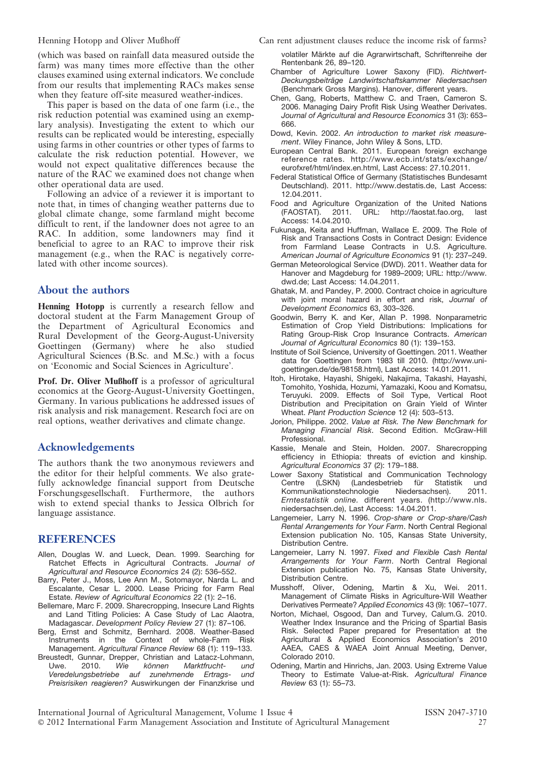(which was based on rainfall data measured outside the farm) was many times more effective than the other clauses examined using external indicators. We conclude from our results that implementing RACs makes sense when they feature off-site measured weather-indices.

This paper is based on the data of one farm (i.e., the risk reduction potential was examined using an exemplary analysis). Investigating the extent to which our results can be replicated would be interesting, especially using farms in other countries or other types of farms to calculate the risk reduction potential. However, we would not expect qualitative differences because the nature of the RAC we examined does not change when other operational data are used.

Following an advice of a reviewer it is important to note that, in times of changing weather patterns due to global climate change, some farmland might become difficult to rent, if the landowner does not agree to an RAC. In addition, some landowners may find it beneficial to agree to an RAC to improve their risk management (e.g., when the RAC is negatively correlated with other income sources).

## About the authors

Henning Hotopp is currently a research fellow and doctoral student at the Farm Management Group of the Department of Agricultural Economics and Rural Development of the Georg-August-University Goettingen (Germany) where he also studied Agricultural Sciences (B.Sc. and M.Sc.) with a focus on 'Economic and Social Sciences in Agriculture'.

Prof. Dr. Oliver Mußhoff is a professor of agricultural economics at the Georg-August-University Goettingen, Germany. In various publications he addressed issues of risk analysis and risk management. Research foci are on real options, weather derivatives and climate change.

## Acknowledgements

The authors thank the two anonymous reviewers and the editor for their helpful comments. We also gratefully acknowledge financial support from Deutsche Forschungsgesellschaft. Furthermore, the authors wish to extend special thanks to Jessica Olbrich for language assistance.

#### REFERENCES

- Allen, Douglas W. and Lueck, Dean. 1999. Searching for Ratchet Effects in Agricultural Contracts. Journal of Agricultural and Resource Economics 24 (2): 536–552.
- Barry, Peter J., Moss, Lee Ann M., Sotomayor, Narda L. and Escalante, Cesar L. 2000. Lease Pricing for Farm Real Estate. Review of Agricultural Economics 22 (1): 2–16.
- Bellemare, Marc F. 2009. Sharecropping, Insecure Land Rights and Land Titling Policies: A Case Study of Lac Alaotra, Madagascar. Development Policy Review 27 (1): 87–106.
- Berg, Ernst and Schmitz, Bernhard. 2008. Weather-Based Instruments in the Context of whole-Farm Risk Management. Agricultural Finance Review 68 (1): 119–133.
- Breustedt, Gunnar, Drepper, Christian and Latacz-Lohmann,<br>Uwe. 2010. Wie können Marktfrucht- und Uwe. 2010. Wie können Marktfrucht- und Veredelungsbetriebe auf zunehmende Ertrags- und Preisrisiken reagieren? Auswirkungen der Finanzkrise und

Henning Hotopp and Oliver Mußhoff Can rent adjustment clauses reduce the income risk of farms?

volatiler Märkte auf die Agrarwirtschaft, Schriftenreihe der Rentenbank 26, 89–120.

- Chamber of Agriculture Lower Saxony (FID). Richtwert-Deckungsbeiträge Landwirtschaftskammer Niedersachsen (Benchmark Gross Margins). Hanover, different years.
- Chen, Gang, Roberts, Matthew C. and Traen, Cameron S. 2006. Managing Dairy Profit Risk Using Weather Derivates. Journal of Agricultural and Resource Economics 31 (3): 653– 666.
- Dowd, Kevin. 2002. An introduction to market risk measurement. Wiley Finance, John Wiley & Sons, LTD.
- European Central Bank. 2011. European foreign exchange reference rates. http://www.ecb.int/stats/exchange/ eurofxref/html/index.en.html, Last Access: 27.10.2011.
- Federal Statistical Office of Germany (Statistisches Bundesamt Deutschland). 2011. http://www.destatis.de, Last Access: 12.04.2011.
- Food and Agriculture Organization of the United Nations (FAOSTAT). 2011. URL: http://faostat.fao.org, last Access: 14.04.2010.
- Fukunaga, Keita and Huffman, Wallace E. 2009. The Role of Risk and Transactions Costs in Contract Design: Evidence from Farmland Lease Contracts in U.S. Agriculture. American Journal of Agriculture Economics 91 (1): 237–249.
- German Meteorological Service (DWD). 2011. Weather data for Hanover and Magdeburg for 1989–2009; URL: http://www. dwd.de; Last Access: 14.04.2011.
- Ghatak, M. and Pandey, P. 2000. Contract choice in agriculture with joint moral hazard in effort and risk, Journal of Development Economics 63, 303–326.
- Goodwin, Berry K. and Ker, Allan P. 1998. Nonparametric Estimation of Crop Yield Distributions: Implications for Rating Group-Risk Crop Insurance Contracts. American Journal of Agricultural Economics 80 (1): 139–153.
- Institute of Soil Science, University of Goettingen. 2011. Weather data for Goettingen from 1983 till 2010. (http://www.unigoettingen.de/de/98158.html), Last Access: 14.01.2011.
- Itoh, Hirotake, Hayashi, Shigeki, Nakajima, Takashi, Hayashi, Tomohito, Yoshida, Hozumi, Yamazaki, Koou and Komatsu, Teruyuki. 2009. Effects of Soil Type, Vertical Root Distribution and Precipitation on Grain Yield of Winter Wheat. Plant Production Science 12 (4): 503–513.
- Jorion, Philippe. 2002. Value at Risk. The New Benchmark for Managing Financial Risk. Second Edition. McGraw-Hill Professional.
- Kassie, Menale and Stein, Holden. 2007. Sharecropping efficiency in Ethiopia: threats of eviction and kinship. Agricultural Economics 37 (2): 179–188.
- Lower Saxony Statistical and Communication Technology<br>Centre (LSKN) (Landesbetrieb für Statistik und Centre (LSKN) (Landesbetrieb für Statistik und<br>Kommunikationstechnologie Niedersachsen). 2011. Kommunikationstechnologie Erntestatistik online. different years. (http://www.nls. niedersachsen.de), Last Access: 14.04.2011.
- Langemeier, Larry N. 1996. Crop-share or Crop-share/Cash Rental Arrangements for Your Farm. North Central Regional Extension publication No. 105, Kansas State University, Distribution Centre.
- Langemeier, Larry N. 1997. Fixed and Flexible Cash Rental Arrangements for Your Farm. North Central Regional Extension publication No. 75, Kansas State University, Distribution Centre.
- Musshoff, Oliver, Odening, Martin & Xu, Wei. 2011. Management of Climate Risks in Agriculture-Will Weather Derivatives Permeate? Applied Economics 43 (9): 1067–1077.
- Norton, Michael, Osgood, Dan and Turvey, Calum.G. 2010. Weather Index Insurance and the Pricing of Spartial Basis Risk. Selected Paper prepared for Presentation at the Agricultural & Applied Economics Association's 2010 AAEA, CAES & WAEA Joint Annual Meeting, Denver, Colorado 2010.
- Odening, Martin and Hinrichs, Jan. 2003. Using Extreme Value Theory to Estimate Value-at-Risk. Agricultural Finance Review 63 (1): 55–73.